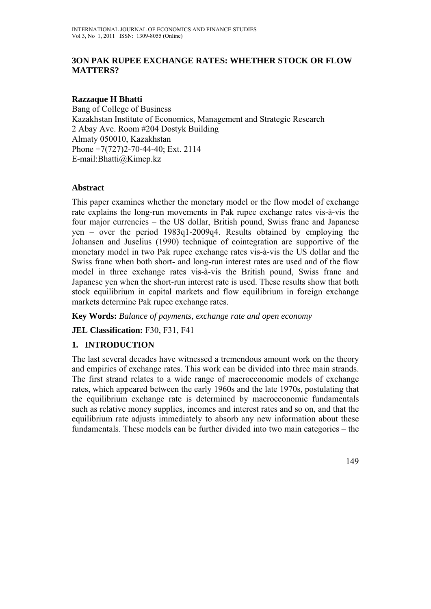## **3ON PAK RUPEE EXCHANGE RATES: WHETHER STOCK OR FLOW MATTERS?**

### **Razzaque H Bhatti**

Bang of College of Business Kazakhstan Institute of Economics, Management and Strategic Research 2 Abay Ave. Room #204 Dostyk Building Almaty 050010, Kazakhstan Phone +7(727)2-70-44-40; Ext. 2114 E-mail:Bhatti@Kimep.kz

### **Abstract**

This paper examines whether the monetary model or the flow model of exchange rate explains the long-run movements in Pak rupee exchange rates vis-à-vis the four major currencies – the US dollar, British pound, Swiss franc and Japanese yen – over the period 1983q1-2009q4. Results obtained by employing the Johansen and Juselius (1990) technique of cointegration are supportive of the monetary model in two Pak rupee exchange rates vis-à-vis the US dollar and the Swiss franc when both short- and long-run interest rates are used and of the flow model in three exchange rates vis-à-vis the British pound, Swiss franc and Japanese yen when the short-run interest rate is used. These results show that both stock equilibrium in capital markets and flow equilibrium in foreign exchange markets determine Pak rupee exchange rates.

**Key Words:** *Balance of payments, exchange rate and open economy* 

**JEL Classification:** F30, F31, F41

# **1. INTRODUCTION**

The last several decades have witnessed a tremendous amount work on the theory and empirics of exchange rates. This work can be divided into three main strands. The first strand relates to a wide range of macroeconomic models of exchange rates, which appeared between the early 1960s and the late 1970s, postulating that the equilibrium exchange rate is determined by macroeconomic fundamentals such as relative money supplies, incomes and interest rates and so on, and that the equilibrium rate adjusts immediately to absorb any new information about these fundamentals. These models can be further divided into two main categories – the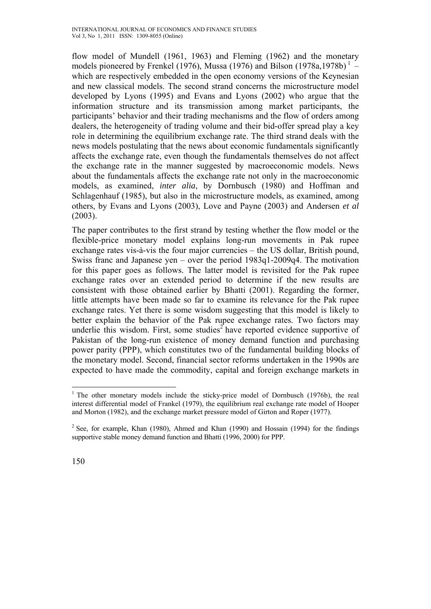flow model of Mundell (1961, 1963) and Fleming (1962) and the monetary models pioneered by Frenkel (1976), Mussa (1976) and Bilson (1978a,1978b)<sup>1</sup> – which are respectively embedded in the open economy versions of the Keynesian and new classical models. The second strand concerns the microstructure model developed by Lyons (1995) and Evans and Lyons (2002) who argue that the information structure and its transmission among market participants, the participants' behavior and their trading mechanisms and the flow of orders among dealers, the heterogeneity of trading volume and their bid-offer spread play a key role in determining the equilibrium exchange rate. The third strand deals with the news models postulating that the news about economic fundamentals significantly affects the exchange rate, even though the fundamentals themselves do not affect the exchange rate in the manner suggested by macroeconomic models. News about the fundamentals affects the exchange rate not only in the macroeconomic models, as examined, *inter alia*, by Dornbusch (1980) and Hoffman and Schlagenhauf (1985), but also in the microstructure models, as examined, among others, by Evans and Lyons (2003), Love and Payne (2003) and Andersen *et al* (2003).

The paper contributes to the first strand by testing whether the flow model or the flexible-price monetary model explains long-run movements in Pak rupee exchange rates vis-à-vis the four major currencies – the US dollar, British pound, Swiss franc and Japanese yen – over the period 1983q1-2009q4. The motivation for this paper goes as follows. The latter model is revisited for the Pak rupee exchange rates over an extended period to determine if the new results are consistent with those obtained earlier by Bhatti (2001). Regarding the former, little attempts have been made so far to examine its relevance for the Pak rupee exchange rates. Yet there is some wisdom suggesting that this model is likely to better explain the behavior of the Pak rupee exchange rates. Two factors may underlie this wisdom. First, some studies<sup>2</sup> have reported evidence supportive of Pakistan of the long-run existence of money demand function and purchasing power parity (PPP), which constitutes two of the fundamental building blocks of the monetary model. Second, financial sector reforms undertaken in the 1990s are expected to have made the commodity, capital and foreign exchange markets in

 $\overline{a}$ 

<sup>&</sup>lt;sup>1</sup> The other monetary models include the sticky-price model of Dornbusch (1976b), the real interest differential model of Frankel (1979), the equilibrium real exchange rate model of Hooper and Morton (1982), and the exchange market pressure model of Girton and Roper (1977).

 $2^2$  See, for example, Khan (1980), Ahmed and Khan (1990) and Hossain (1994) for the findings supportive stable money demand function and Bhatti (1996, 2000) for PPP.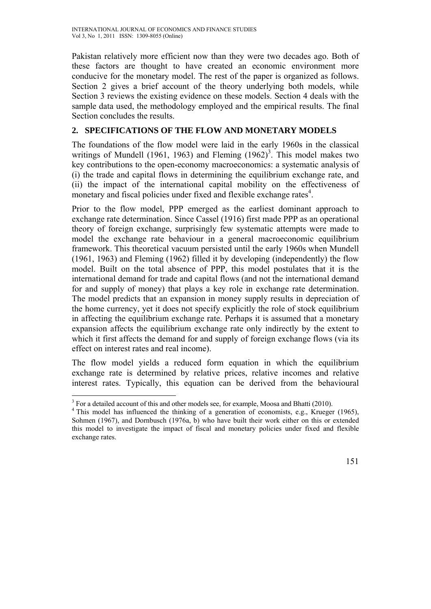Pakistan relatively more efficient now than they were two decades ago. Both of these factors are thought to have created an economic environment more conducive for the monetary model. The rest of the paper is organized as follows. Section 2 gives a brief account of the theory underlying both models, while Section 3 reviews the existing evidence on these models. Section 4 deals with the sample data used, the methodology employed and the empirical results. The final Section concludes the results.

# **2. SPECIFICATIONS OF THE FLOW AND MONETARY MODELS**

The foundations of the flow model were laid in the early 1960s in the classical writings of Mundell (1961, 1963) and Fleming  $(1962)^3$ . This model makes two key contributions to the open-economy macroeconomics: a systematic analysis of (i) the trade and capital flows in determining the equilibrium exchange rate, and (ii) the impact of the international capital mobility on the effectiveness of monetary and fiscal policies under fixed and flexible exchange rates<sup>4</sup>.

Prior to the flow model, PPP emerged as the earliest dominant approach to exchange rate determination. Since Cassel (1916) first made PPP as an operational theory of foreign exchange, surprisingly few systematic attempts were made to model the exchange rate behaviour in a general macroeconomic equilibrium framework. This theoretical vacuum persisted until the early 1960s when Mundell (1961, 1963) and Fleming (1962) filled it by developing (independently) the flow model. Built on the total absence of PPP, this model postulates that it is the international demand for trade and capital flows (and not the international demand for and supply of money) that plays a key role in exchange rate determination. The model predicts that an expansion in money supply results in depreciation of the home currency, yet it does not specify explicitly the role of stock equilibrium in affecting the equilibrium exchange rate. Perhaps it is assumed that a monetary expansion affects the equilibrium exchange rate only indirectly by the extent to which it first affects the demand for and supply of foreign exchange flows (via its effect on interest rates and real income).

The flow model yields a reduced form equation in which the equilibrium exchange rate is determined by relative prices, relative incomes and relative interest rates. Typically, this equation can be derived from the behavioural

 $\overline{a}$  $3$  For a detailed account of this and other models see, for example, Moosa and Bhatti (2010).

 $4$  This model has influenced the thinking of a generation of economists, e.g., Krueger (1965), Sohmen (1967), and Dornbusch (1976a, b) who have built their work either on this or extended this model to investigate the impact of fiscal and monetary policies under fixed and flexible exchange rates.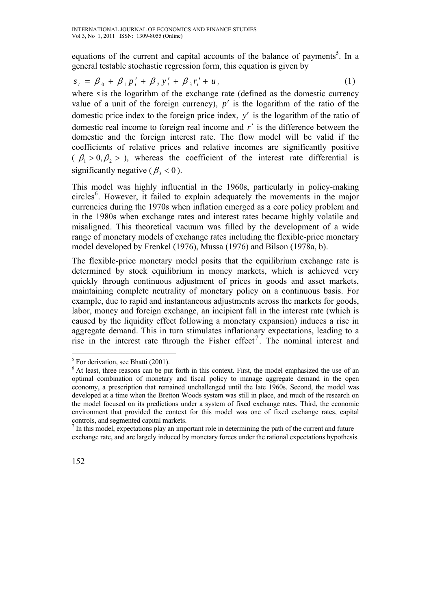equations of the current and capital accounts of the balance of payments<sup>5</sup>. In a general testable stochastic regression form, this equation is given by

$$
s_{t} = \beta_{0} + \beta_{1} p'_{t} + \beta_{2} y'_{t} + \beta_{3} r'_{t} + u_{t}
$$
 (1)

where *s* is the logarithm of the exchange rate (defined as the domestic currency value of a unit of the foreign currency),  $p'$  is the logarithm of the ratio of the domestic price index to the foreign price index, *y*′ is the logarithm of the ratio of domestic real income to foreign real income and *r*′ is the difference between the domestic and the foreign interest rate. The flow model will be valid if the coefficients of relative prices and relative incomes are significantly positive  $(\beta_1 > 0, \beta_2 > 0)$ , whereas the coefficient of the interest rate differential is significantly negative ( $\beta$ , < 0).

This model was highly influential in the 1960s, particularly in policy-making circles<sup>6</sup>. However, it failed to explain adequately the movements in the major currencies during the 1970s when inflation emerged as a core policy problem and in the 1980s when exchange rates and interest rates became highly volatile and misaligned. This theoretical vacuum was filled by the development of a wide range of monetary models of exchange rates including the flexible-price monetary model developed by Frenkel (1976), Mussa (1976) and Bilson (1978a, b).

The flexible-price monetary model posits that the equilibrium exchange rate is determined by stock equilibrium in money markets, which is achieved very quickly through continuous adjustment of prices in goods and asset markets, maintaining complete neutrality of monetary policy on a continuous basis. For example, due to rapid and instantaneous adjustments across the markets for goods, labor, money and foreign exchange, an incipient fall in the interest rate (which is caused by the liquidity effect following a monetary expansion) induces a rise in aggregate demand. This in turn stimulates inflationary expectations, leading to a rise in the interest rate through the Fisher effect<sup>7</sup>. The nominal interest and

 $\overline{a}$ 

 $<sup>5</sup>$  For derivation, see Bhatti (2001).</sup>

<sup>&</sup>lt;sup>6</sup> At least, three reasons can be put forth in this context. First, the model emphasized the use of an optimal combination of monetary and fiscal policy to manage aggregate demand in the open economy, a prescription that remained unchallenged until the late 1960s. Second, the model was developed at a time when the Bretton Woods system was still in place, and much of the research on the model focused on its predictions under a system of fixed exchange rates. Third, the economic environment that provided the context for this model was one of fixed exchange rates, capital controls, and segmented capital markets.

 $<sup>7</sup>$  In this model, expectations play an important role in determining the path of the current and future</sup> exchange rate, and are largely induced by monetary forces under the rational expectations hypothesis.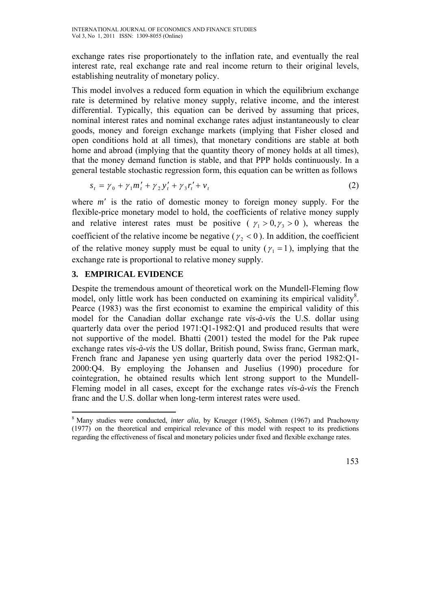exchange rates rise proportionately to the inflation rate, and eventually the real interest rate, real exchange rate and real income return to their original levels, establishing neutrality of monetary policy.

This model involves a reduced form equation in which the equilibrium exchange rate is determined by relative money supply, relative income, and the interest differential. Typically, this equation can be derived by assuming that prices, nominal interest rates and nominal exchange rates adjust instantaneously to clear goods, money and foreign exchange markets (implying that Fisher closed and open conditions hold at all times), that monetary conditions are stable at both home and abroad (implying that the quantity theory of money holds at all times), that the money demand function is stable, and that PPP holds continuously. In a general testable stochastic regression form, this equation can be written as follows

$$
s_t = \gamma_0 + \gamma_1 m_t' + \gamma_2 y_t' + \gamma_3 r_t' + v_t \tag{2}
$$

where *m*′ is the ratio of domestic money to foreign money supply. For the flexible-price monetary model to hold, the coefficients of relative money supply and relative interest rates must be positive ( $\gamma_1 > 0, \gamma_2 > 0$ ), whereas the coefficient of the relative income be negative ( $\gamma$ , < 0). In addition, the coefficient of the relative money supply must be equal to unity ( $\gamma_1 = 1$ ), implying that the exchange rate is proportional to relative money supply.

# **3. EMPIRICAL EVIDENCE**

Despite the tremendous amount of theoretical work on the Mundell-Fleming flow model, only little work has been conducted on examining its empirical validity<sup>8</sup>. Pearce (1983) was the first economist to examine the empirical validity of this model for the Canadian dollar exchange rate *vis-à-vis* the U.S. dollar using quarterly data over the period 1971:Q1-1982:Q1 and produced results that were not supportive of the model. Bhatti (2001) tested the model for the Pak rupee exchange rates *vis-à-vis* the US dollar, British pound, Swiss franc, German mark, French franc and Japanese yen using quarterly data over the period 1982:Q1- 2000:Q4. By employing the Johansen and Juselius (1990) procedure for cointegration, he obtained results which lent strong support to the Mundell-Fleming model in all cases, except for the exchange rates *vis-à-vis* the French franc and the U.S. dollar when long-term interest rates were used.

 $\overline{a}$ <sup>8</sup> Many studies were conducted, *inter alia*, by Krueger (1965), Sohmen (1967) and Prachowny (1977) on the theoretical and empirical relevance of this model with respect to its predictions regarding the effectiveness of fiscal and monetary policies under fixed and flexible exchange rates.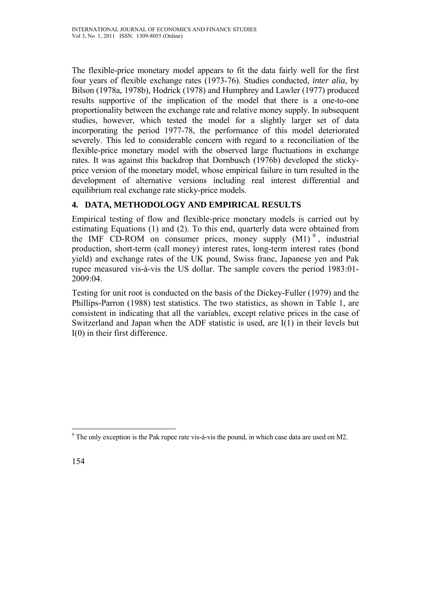The flexible-price monetary model appears to fit the data fairly well for the first four years of flexible exchange rates (1973-76). Studies conducted, *inter alia*, by Bilson (1978a, 1978b), Hodrick (1978) and Humphrey and Lawler (1977) produced results supportive of the implication of the model that there is a one-to-one proportionality between the exchange rate and relative money supply. In subsequent studies, however, which tested the model for a slightly larger set of data incorporating the period 1977-78, the performance of this model deteriorated severely. This led to considerable concern with regard to a reconciliation of the flexible-price monetary model with the observed large fluctuations in exchange rates. It was against this backdrop that Dornbusch (1976b) developed the stickyprice version of the monetary model, whose empirical failure in turn resulted in the development of alternative versions including real interest differential and equilibrium real exchange rate sticky-price models.

# **4. DATA, METHODOLOGY AND EMPIRICAL RESULTS**

Empirical testing of flow and flexible-price monetary models is carried out by estimating Equations (1) and (2). To this end, quarterly data were obtained from the IMF CD-ROM on consumer prices, money supply  $(M1)^9$ , industrial production, short-term (call money) interest rates, long-term interest rates (bond yield) and exchange rates of the UK pound, Swiss franc, Japanese yen and Pak rupee measured vis-à-vis the US dollar. The sample covers the period 1983:01-  $2009.04$ 

Testing for unit root is conducted on the basis of the Dickey-Fuller (1979) and the Phillips-Parron (1988) test statistics. The two statistics, as shown in Table 1, are consistent in indicating that all the variables, except relative prices in the case of Switzerland and Japan when the ADF statistic is used, are I(1) in their levels but I(0) in their first difference.

 $\overline{a}$  $9^9$  The only exception is the Pak rupee rate vis-à-vis the pound, in which case data are used on M2.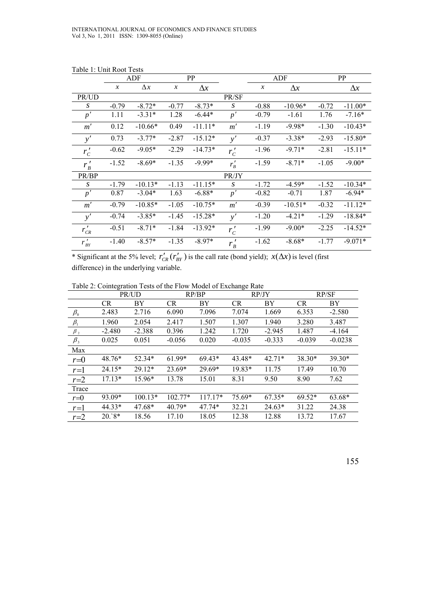|                 | ADF           |            | PP               |            |                  | ADF              |            | <b>PP</b> |            |
|-----------------|---------------|------------|------------------|------------|------------------|------------------|------------|-----------|------------|
|                 | $\mathcal{X}$ | $\Delta x$ | $\boldsymbol{x}$ | $\Delta x$ |                  | $\boldsymbol{x}$ | $\Delta x$ |           | $\Delta x$ |
| PR/UD           |               |            |                  |            | PR/SF            |                  |            |           |            |
| S               | $-0.79$       | $-8.72*$   | $-0.77$          | $-8.73*$   | $\boldsymbol{S}$ | $-0.88$          | $-10.96*$  | $-0.72$   | $-11.00*$  |
| $\overline{p}'$ | 1.11          | $-3.31*$   | 1.28             | $-6.44*$   | p'               | $-0.79$          | $-1.61$    | 1.76      | $-7.16*$   |
| m'              | 0.12          | $-10.66*$  | 0.49             | $-11.11*$  | m'               | $-1.19$          | $-9.98*$   | $-1.30$   | $-10.43*$  |
| y'              | 0.73          | $-3.77*$   | $-2.87$          | $-15.12*$  | y'               | $-0.37$          | $-3.38*$   | $-2.93$   | $-15.80*$  |
| $r'_c$          | $-0.62$       | $-9.05*$   | $-2.29$          | $-14.73*$  | $r'_c$           | $-1.96$          | $-9.71*$   | $-2.81$   | $-15.11*$  |
| $r'_{B}$        | $-1.52$       | $-8.69*$   | $-1.35$          | $-9.99*$   | $r'_{B}$         | $-1.59$          | $-8.71*$   | $-1.05$   | $-9.00*$   |
| PR/BP           |               |            |                  |            | PR/JY            |                  |            |           |            |
| S               | $-1.79$       | $-10.13*$  | $-1.13$          | $-11.15*$  | $\boldsymbol{S}$ | $-1.72$          | $-4.59*$   | $-1.52$   | $-10.34*$  |
| p'              | 0.87          | $-3.04*$   | 1.63             | $-6.88*$   | p'               | $-0.82$          | $-0.71$    | 1.87      | $-6.94*$   |
| m'              | $-0.79$       | $-10.85*$  | $-1.05$          | $-10.75*$  | m'               | $-0.39$          | $-10.51*$  | $-0.32$   | $-11.12*$  |
| y'              | $-0.74$       | $-3.85*$   | $-1.45$          | $-15.28*$  | y'               | $-1.20$          | $-4.21*$   | $-1.29$   | $-18.84*$  |
| $r'_{CR}$       | $-0.51$       | $-8.71*$   | $-1.84$          | $-13.92*$  | $r'_c$           | $-1.99$          | $-9.00*$   | $-2.25$   | $-14.52*$  |
| $r'_{BY}$       | $-1.40$       | $-8.57*$   | $-1.35$          | $-8.97*$   | $r'_{B}$         | $-1.62$          | $-8.68*$   | $-1.77$   | $-9.071*$  |

Table 1: Unit Root Tests

\* Significant at the 5% level;  $r'_{CR}(r'_{BY})$  is the call rate (bond yield);  $x(\Delta x)$  is level (first difference) in the underlying variable.

Table 2: Cointegration Tests of the Flow Model of Exchange Rate

|                                | PR/UD     |           | RP/BP     |           | RP/JY     |          | RP/SF     |           |
|--------------------------------|-----------|-----------|-----------|-----------|-----------|----------|-----------|-----------|
|                                | <b>CR</b> | BY        | <b>CR</b> | BY        | <b>CR</b> | BY       | <b>CR</b> | BY        |
| $\beta_{\scriptscriptstyle 0}$ | 2.483     | 2.716     | 6.090     | 7.096     | 7.074     | 1.669    | 6.353     | $-2.580$  |
| $\beta_1$                      | 1.960     | 2.054     | 2.417     | 1.507     | 1.307     | 1.940    | 3.280     | 3.487     |
| $\beta_2$                      | $-2.480$  | $-2.388$  | 0.396     | 1.242     | 1.720     | $-2.945$ | 1.487     | $-4.164$  |
| $\beta_{3}$                    | 0.025     | 0.051     | $-0.056$  | 0.020     | $-0.035$  | $-0.333$ | $-0.039$  | $-0.0238$ |
| Max                            |           |           |           |           |           |          |           |           |
| $r = 0$                        | 48.76*    | $52.34*$  | $61.99*$  | $69.43*$  | 43.48*    | $42.71*$ | 38.30*    | $39.30*$  |
| $r=1$                          | $24.15*$  | $29.12*$  | $23.69*$  | $29.69*$  | 19.83*    | 11.75    | 17.49     | 10.70     |
| $r=2$                          | $17.13*$  | 15.96*    | 13.78     | 15.01     | 8.31      | 9.50     | 8.90      | 7.62      |
| Trace                          |           |           |           |           |           |          |           |           |
| $r = 0$                        | 93.09*    | $100.13*$ | $102.77*$ | $117.17*$ | 75.69*    | $67.35*$ | $69.52*$  | 63.68*    |
| $r=1$                          | 44.33*    | $47.68*$  | $40.79*$  | $47.74*$  | 32.21     | $24.63*$ | 31.22     | 24.38     |
| $r=2$                          | $20.8*$   | 18.56     | 17.10     | 18.05     | 12.38     | 12.88    | 13.72     | 17.67     |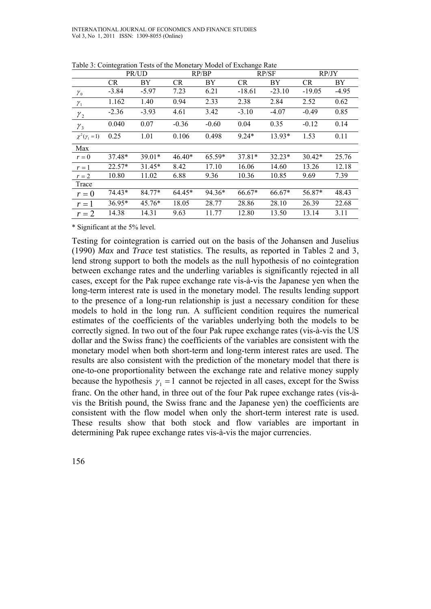|                      | PR/UD     |          | RP/BP     |         | RP/SF     |          | RP/JY     |         |
|----------------------|-----------|----------|-----------|---------|-----------|----------|-----------|---------|
|                      | <b>CR</b> | BY       | <b>CR</b> | BY      | <b>CR</b> | BY       | <b>CR</b> | BY      |
| $\mathcal{Y}_0$      | $-3.84$   | $-5.97$  | 7.23      | 6.21    | $-18.61$  | $-23.10$ | $-19.05$  | $-4.95$ |
| $\gamma_{1}$         | 1.162     | 1.40     | 0.94      | 2.33    | 2.38      | 2.84     | 2.52      | 0.62    |
| $\gamma_{2}$         | $-2.36$   | $-3.93$  | 4.61      | 3.42    | $-3.10$   | $-4.07$  | $-0.49$   | 0.85    |
| $\gamma_3$           | 0.040     | 0.07     | $-0.36$   | $-0.60$ | 0.04      | 0.35     | $-0.12$   | 0.14    |
| $\chi^2(\gamma_1=1)$ | 0.25      | 1.01     | 0.106     | 0.498   | $9.24*$   | 13.93*   | 1.53      | 0.11    |
| Max                  |           |          |           |         |           |          |           |         |
| $r = 0$              | 37.48*    | 39.01*   | $46.40*$  | 65.59*  | $37.81*$  | $32.23*$ | $30.42*$  | 25.76   |
| $r=1$                | $22.57*$  | $31.45*$ | 8.42      | 17.10   | 16.06     | 14.60    | 13.26     | 12.18   |
| $r=2$                | 10.80     | 11.02    | 6.88      | 9.36    | 10.36     | 10.85    | 9.69      | 7.39    |
| Trace                |           |          |           |         |           |          |           |         |
| $r=0$                | 74.43*    | 84.77*   | $64.45*$  | 94.36*  | $66.67*$  | 66.67*   | 56.87*    | 48.43   |
| $r=1$                | 36.95*    | $45.76*$ | 18.05     | 28.77   | 28.86     | 28.10    | 26.39     | 22.68   |
| $r=2$                | 14.38     | 14.31    | 9.63      | 11.77   | 12.80     | 13.50    | 13.14     | 3.11    |

Table 3: Cointegration Tests of the Monetary Model of Exchange Rate

\* Significant at the 5% level.

Testing for cointegration is carried out on the basis of the Johansen and Juselius (1990) *Max* and *Trace* test statistics. The results, as reported in Tables 2 and 3, lend strong support to both the models as the null hypothesis of no cointegration between exchange rates and the underling variables is significantly rejected in all cases, except for the Pak rupee exchange rate vis-à-vis the Japanese yen when the long-term interest rate is used in the monetary model. The results lending support to the presence of a long-run relationship is just a necessary condition for these models to hold in the long run. A sufficient condition requires the numerical estimates of the coefficients of the variables underlying both the models to be correctly signed. In two out of the four Pak rupee exchange rates (vis-à-vis the US dollar and the Swiss franc) the coefficients of the variables are consistent with the monetary model when both short-term and long-term interest rates are used. The results are also consistent with the prediction of the monetary model that there is one-to-one proportionality between the exchange rate and relative money supply because the hypothesis  $\gamma_1 = 1$  cannot be rejected in all cases, except for the Swiss franc. On the other hand, in three out of the four Pak rupee exchange rates (vis-àvis the British pound, the Swiss franc and the Japanese yen) the coefficients are consistent with the flow model when only the short-term interest rate is used. These results show that both stock and flow variables are important in determining Pak rupee exchange rates vis-à-vis the major currencies.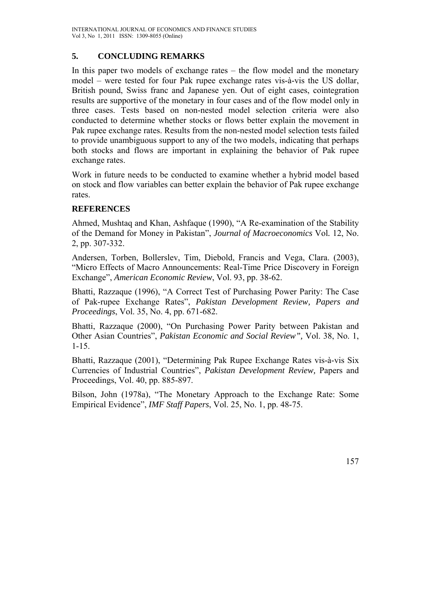# **5. CONCLUDING REMARKS**

In this paper two models of exchange rates – the flow model and the monetary model – were tested for four Pak rupee exchange rates vis-à-vis the US dollar, British pound, Swiss franc and Japanese yen. Out of eight cases, cointegration results are supportive of the monetary in four cases and of the flow model only in three cases. Tests based on non-nested model selection criteria were also conducted to determine whether stocks or flows better explain the movement in Pak rupee exchange rates. Results from the non-nested model selection tests failed to provide unambiguous support to any of the two models, indicating that perhaps both stocks and flows are important in explaining the behavior of Pak rupee exchange rates.

Work in future needs to be conducted to examine whether a hybrid model based on stock and flow variables can better explain the behavior of Pak rupee exchange rates.

# **REFERENCES**

Ahmed, Mushtaq and Khan, Ashfaque (1990), "A Re-examination of the Stability of the Demand for Money in Pakistan", *Journal of Macroeconomics* Vol*.* 12, No. 2, pp. 307-332.

Andersen, Torben, Bollerslev, Tim, Diebold, Francis and Vega, Clara. (2003), "Micro Effects of Macro Announcements: Real-Time Price Discovery in Foreign Exchange", *American Economic Review*, Vol. 93, pp. 38-62.

Bhatti, Razzaque (1996), "A Correct Test of Purchasing Power Parity: The Case of Pak-rupee Exchange Rates", *Pakistan Development Review, Papers and Proceedings*, Vol. 35, No. 4, pp. 671-682.

Bhatti, Razzaque (2000), "On Purchasing Power Parity between Pakistan and Other Asian Countries", *Pakistan Economic and Social Review",* Vol. 38, No. 1, 1-15.

Bhatti, Razzaque (2001), "Determining Pak Rupee Exchange Rates vis-à-vis Six Currencies of Industrial Countries", *Pakistan Development Review,* Papers and Proceedings, Vol. 40, pp. 885-897.

Bilson, John (1978a), "The Monetary Approach to the Exchange Rate: Some Empirical Evidence", *IMF Staff Papers*, Vol. 25, No. 1, pp. 48-75.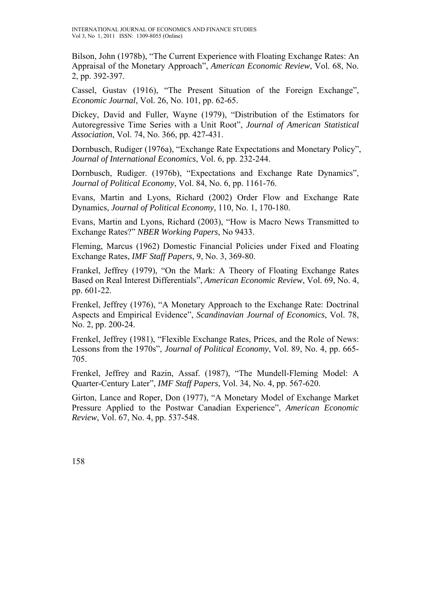Bilson, John (1978b), "The Current Experience with Floating Exchange Rates: An Appraisal of the Monetary Approach", *American Economic Review*, Vol. 68, No. 2, pp. 392-397.

Cassel, Gustav (1916), "The Present Situation of the Foreign Exchange", *Economic Journal*, Vol. 26, No. 101, pp. 62-65.

Dickey, David and Fuller, Wayne (1979), "Distribution of the Estimators for Autoregressive Time Series with a Unit Root", *Journal of American Statistical Association*, Vol. 74, No. 366, pp. 427-431.

Dornbusch, Rudiger (1976a), "Exchange Rate Expectations and Monetary Policy", *Journal of International Economics*, Vol. 6, pp. 232-244.

Dornbusch, Rudiger. (1976b), "Expectations and Exchange Rate Dynamics", *Journal of Political Economy*, Vol. 84, No. 6, pp. 1161-76.

Evans, Martin and Lyons, Richard (2002) Order Flow and Exchange Rate Dynamics, *Journal of Political Economy,* 110, No. 1, 170-180.

Evans, Martin and Lyons, Richard (2003), "How is Macro News Transmitted to Exchange Rates?" *NBER Working Papers*, No 9433.

Fleming, Marcus (1962) Domestic Financial Policies under Fixed and Floating Exchange Rates, *IMF Staff Papers*, 9, No. 3, 369-80.

Frankel, Jeffrey (1979), "On the Mark: A Theory of Floating Exchange Rates Based on Real Interest Differentials", *American Economic Review*, Vol. 69, No. 4, pp. 601-22.

Frenkel, Jeffrey (1976), "A Monetary Approach to the Exchange Rate: Doctrinal Aspects and Empirical Evidence", *Scandinavian Journal of Economics*, Vol. 78, No. 2, pp. 200-24.

Frenkel, Jeffrey (1981), "Flexible Exchange Rates, Prices, and the Role of News: Lessons from the 1970s", *Journal of Political Economy*, Vol. 89, No. 4, pp. 665- 705.

Frenkel, Jeffrey and Razin, Assaf. (1987), "The Mundell-Fleming Model: A Quarter-Century Later", *IMF Staff Papers*, Vol. 34, No. 4, pp. 567-620.

Girton, Lance and Roper, Don (1977), "A Monetary Model of Exchange Market Pressure Applied to the Postwar Canadian Experience", *American Economic Review*, Vol. 67, No. 4, pp. 537-548.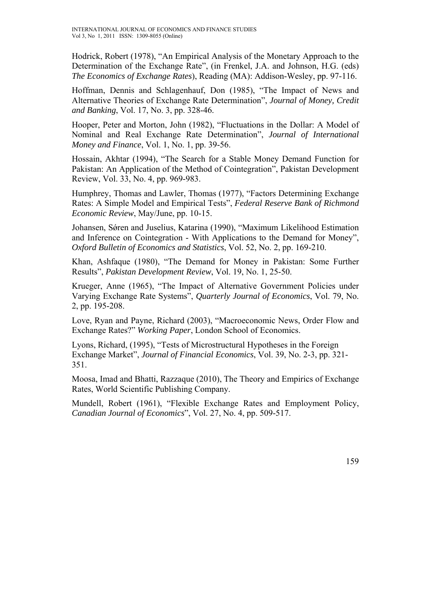Hodrick, Robert (1978), "An Empirical Analysis of the Monetary Approach to the Determination of the Exchange Rate", (in Frenkel, J.A. and Johnson, H.G. (eds) *The Economics of Exchange Rates*), Reading (MA): Addison-Wesley, pp. 97-116.

Hoffman, Dennis and Schlagenhauf, Don (1985), "The Impact of News and Alternative Theories of Exchange Rate Determination", *Journal of Money, Credit and Banking*, Vol. 17, No. 3, pp. 328-46.

Hooper, Peter and Morton, John (1982), "Fluctuations in the Dollar: A Model of Nominal and Real Exchange Rate Determination", *Journal of International Money and Finance*, Vol. 1, No. 1, pp. 39-56.

Hossain, Akhtar (1994), "The Search for a Stable Money Demand Function for Pakistan: An Application of the Method of Cointegration", Pakistan Development Review, Vol. 33, No. 4, pp. 969-983.

Humphrey, Thomas and Lawler, Thomas (1977), "Factors Determining Exchange Rates: A Simple Model and Empirical Tests", *Federal Reserve Bank of Richmond Economic Review*, May/June, pp. 10-15.

Johansen, Sǿren and Juselius, Katarina (1990), "Maximum Likelihood Estimation and Inference on Cointegration - With Applications to the Demand for Money", *Oxford Bulletin of Economics and Statistics*, Vol. 52, No. 2, pp. 169-210.

Khan, Ashfaque (1980), "The Demand for Money in Pakistan: Some Further Results", *Pakistan Development Review*, Vol. 19, No. 1, 25-50.

Krueger, Anne (1965), "The Impact of Alternative Government Policies under Varying Exchange Rate Systems", *Quarterly Journal of Economics*, Vol. 79, No. 2, pp. 195-208.

Love, Ryan and Payne, Richard (2003), "Macroeconomic News, Order Flow and Exchange Rates?" *Working Paper*, London School of Economics.

Lyons, Richard, (1995), "Tests of Microstructural Hypotheses in the Foreign Exchange Market", *Journal of Financial Economics*, Vol. 39, No. 2-3, pp. 321- 351.

Moosa, Imad and Bhatti, Razzaque (2010), The Theory and Empirics of Exchange Rates, World Scientific Publishing Company.

Mundell, Robert (1961), "Flexible Exchange Rates and Employment Policy, *Canadian Journal of Economics*", Vol. 27, No. 4, pp. 509-517.